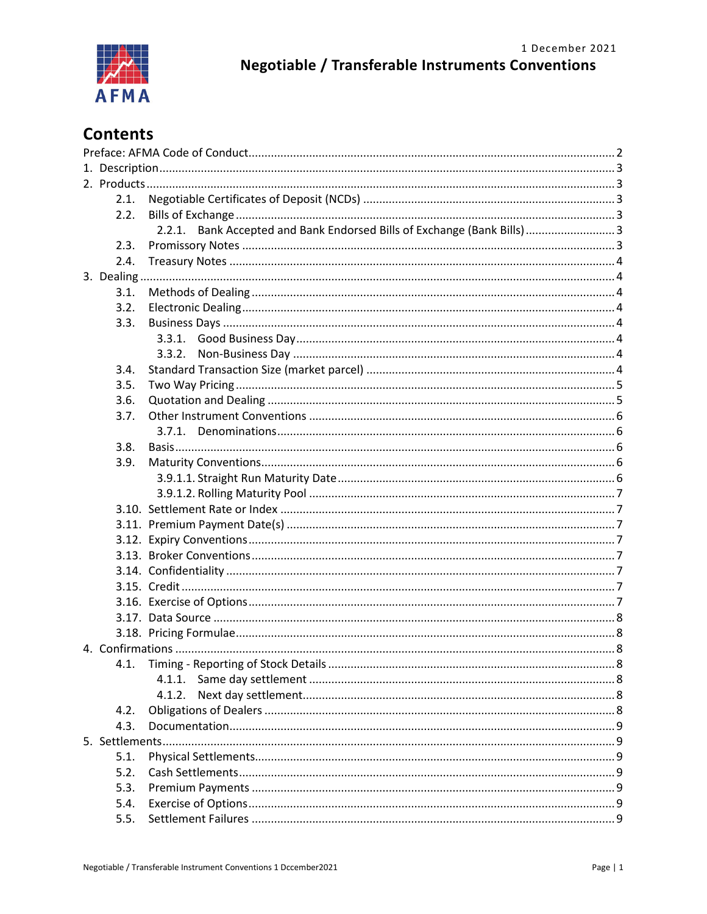

# **Contents**

|      | 2.1. |                                                                        |  |  |  |
|------|------|------------------------------------------------------------------------|--|--|--|
|      | 2.2. |                                                                        |  |  |  |
|      |      | 2.2.1. Bank Accepted and Bank Endorsed Bills of Exchange (Bank Bills)3 |  |  |  |
|      | 2.3. |                                                                        |  |  |  |
|      | 2.4. |                                                                        |  |  |  |
|      |      |                                                                        |  |  |  |
|      | 3.1. |                                                                        |  |  |  |
|      | 3.2. |                                                                        |  |  |  |
|      | 3.3. |                                                                        |  |  |  |
|      |      |                                                                        |  |  |  |
|      |      |                                                                        |  |  |  |
|      | 3.4. |                                                                        |  |  |  |
|      | 3.5. |                                                                        |  |  |  |
|      | 3.6. |                                                                        |  |  |  |
|      | 3.7. |                                                                        |  |  |  |
|      |      |                                                                        |  |  |  |
|      | 3.8. |                                                                        |  |  |  |
|      | 3.9. |                                                                        |  |  |  |
|      |      |                                                                        |  |  |  |
|      |      |                                                                        |  |  |  |
|      |      |                                                                        |  |  |  |
|      |      |                                                                        |  |  |  |
|      |      |                                                                        |  |  |  |
|      |      |                                                                        |  |  |  |
|      |      |                                                                        |  |  |  |
|      |      |                                                                        |  |  |  |
|      |      |                                                                        |  |  |  |
|      |      |                                                                        |  |  |  |
|      |      |                                                                        |  |  |  |
|      |      |                                                                        |  |  |  |
|      |      |                                                                        |  |  |  |
|      |      | 4.1.1.                                                                 |  |  |  |
|      |      |                                                                        |  |  |  |
|      | 4.2. |                                                                        |  |  |  |
|      | 4.3. |                                                                        |  |  |  |
|      |      |                                                                        |  |  |  |
| 5.1. |      |                                                                        |  |  |  |
|      | 5.2. |                                                                        |  |  |  |
|      | 5.3. |                                                                        |  |  |  |
|      |      |                                                                        |  |  |  |
|      | 5.4. |                                                                        |  |  |  |
|      | 5.5. |                                                                        |  |  |  |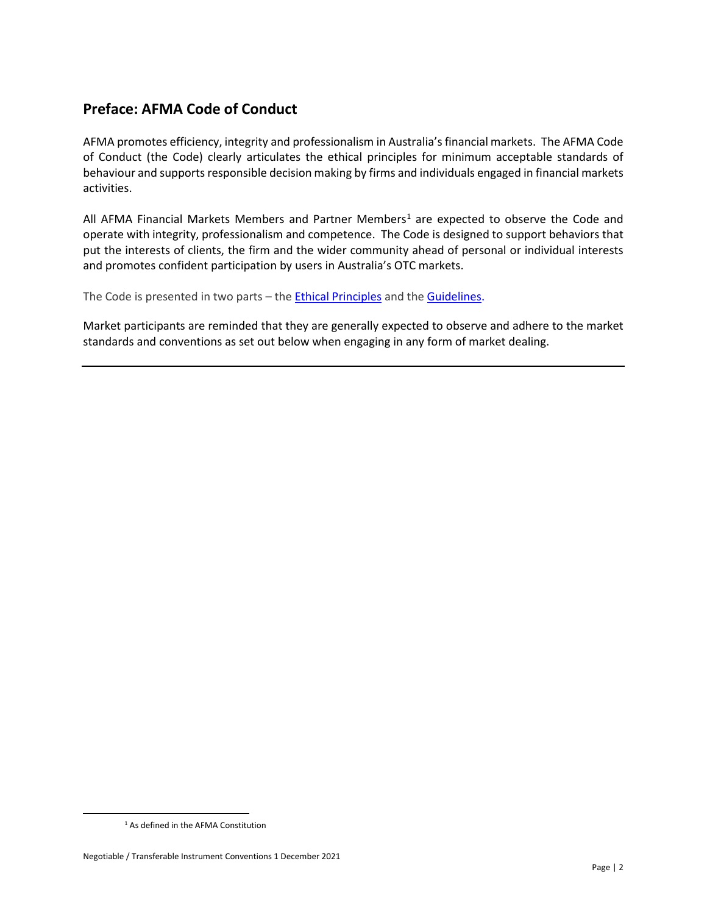# <span id="page-1-0"></span>**Preface: AFMA Code of Conduct**

AFMA promotes efficiency, integrity and professionalism in Australia's financial markets. The AFMA Code of Conduct (the Code) clearly articulates the ethical principles for minimum acceptable standards of behaviour and supports responsible decision making by firms and individuals engaged in financial markets activities.

All AFMA Financial Markets Members and Partner Members<sup>1</sup> are expected to observe the Code and operate with integrity, professionalism and competence. The Code is designed to support behaviors that put the interests of clients, the firm and the wider community ahead of personal or individual interests and promotes confident participation by users in Australia's OTC markets.

The Code is presented in two parts - the **Ethical Principles** and the **Guidelines**.

Market participants are reminded that they are generally expected to observe and adhere to the market standards and conventions as set out below when engaging in any form of market dealing.

<span id="page-1-1"></span><sup>1</sup> As defined in the AFMA Constitution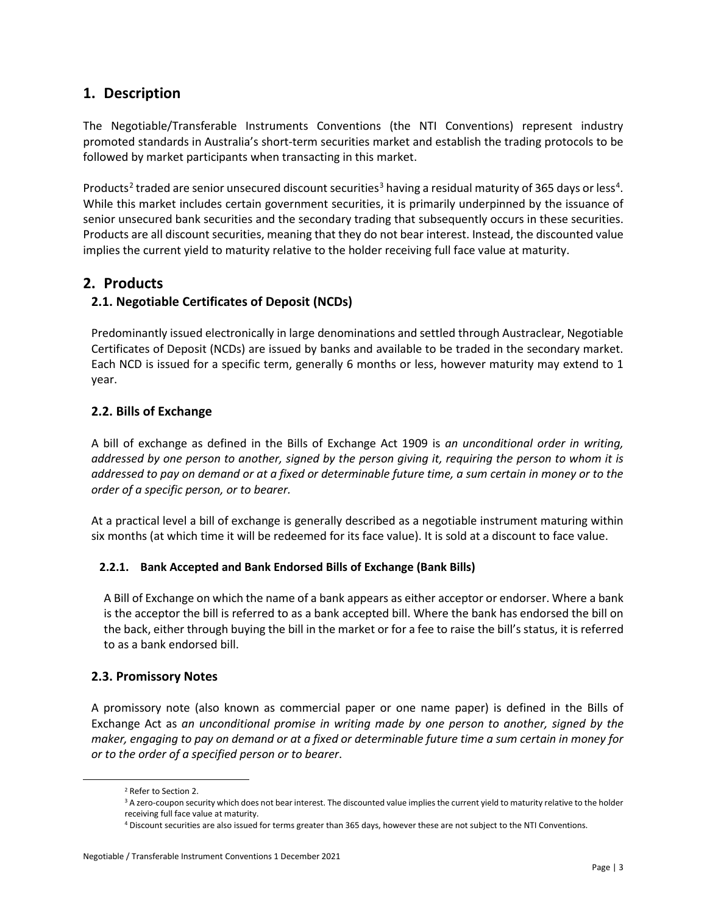# <span id="page-2-0"></span>**1. Description**

The Negotiable/Transferable Instruments Conventions (the NTI Conventions) represent industry promoted standards in Australia's short-term securities market and establish the trading protocols to be followed by market participants when transacting in this market.

Products<sup>[2](#page-2-6)</sup> traded are senior unsecured discount securities<sup>[3](#page-2-7)</sup> having a residual maturity of 365 days or less<sup>[4](#page-2-8)</sup>. While this market includes certain government securities, it is primarily underpinned by the issuance of senior unsecured bank securities and the secondary trading that subsequently occurs in these securities. Products are all discount securities, meaning that they do not bear interest. Instead, the discounted value implies the current yield to maturity relative to the holder receiving full face value at maturity.

# <span id="page-2-1"></span>**2. Products**

# <span id="page-2-2"></span>**2.1. Negotiable Certificates of Deposit (NCDs)**

Predominantly issued electronically in large denominations and settled through Austraclear, Negotiable Certificates of Deposit (NCDs) are issued by banks and available to be traded in the secondary market. Each NCD is issued for a specific term, generally 6 months or less, however maturity may extend to 1 year.

# <span id="page-2-3"></span>**2.2. Bills of Exchange**

A bill of exchange as defined in the Bills of Exchange Act 1909 is *an unconditional order in writing, addressed by one person to another, signed by the person giving it, requiring the person to whom it is addressed to pay on demand or at a fixed or determinable future time, a sum certain in money or to the order of a specific person, or to bearer.*

At a practical level a bill of exchange is generally described as a negotiable instrument maturing within six months (at which time it will be redeemed for its face value). It is sold at a discount to face value.

#### <span id="page-2-4"></span>**2.2.1. Bank Accepted and Bank Endorsed Bills of Exchange (Bank Bills)**

A Bill of Exchange on which the name of a bank appears as either acceptor or endorser. Where a bank is the acceptor the bill is referred to as a bank accepted bill. Where the bank has endorsed the bill on the back, either through buying the bill in the market or for a fee to raise the bill's status, it is referred to as a bank endorsed bill.

# <span id="page-2-5"></span>**2.3. Promissory Notes**

A promissory note (also known as commercial paper or one name paper) is defined in the Bills of Exchange Act as *an unconditional promise in writing made by one person to another, signed by the maker, engaging to pay on demand or at a fixed or determinable future time a sum certain in money for or to the order of a specified person or to bearer*.

<span id="page-2-7"></span><span id="page-2-6"></span><sup>&</sup>lt;sup>2</sup> Refer to Section 2.<br><sup>3</sup> A zero-coupon security which does not bear interest. The discounted value implies the current yield to maturity relative to the holder receiving full face value at maturity.

<span id="page-2-8"></span><sup>4</sup> Discount securities are also issued for terms greater than 365 days, however these are not subject to the NTI Conventions.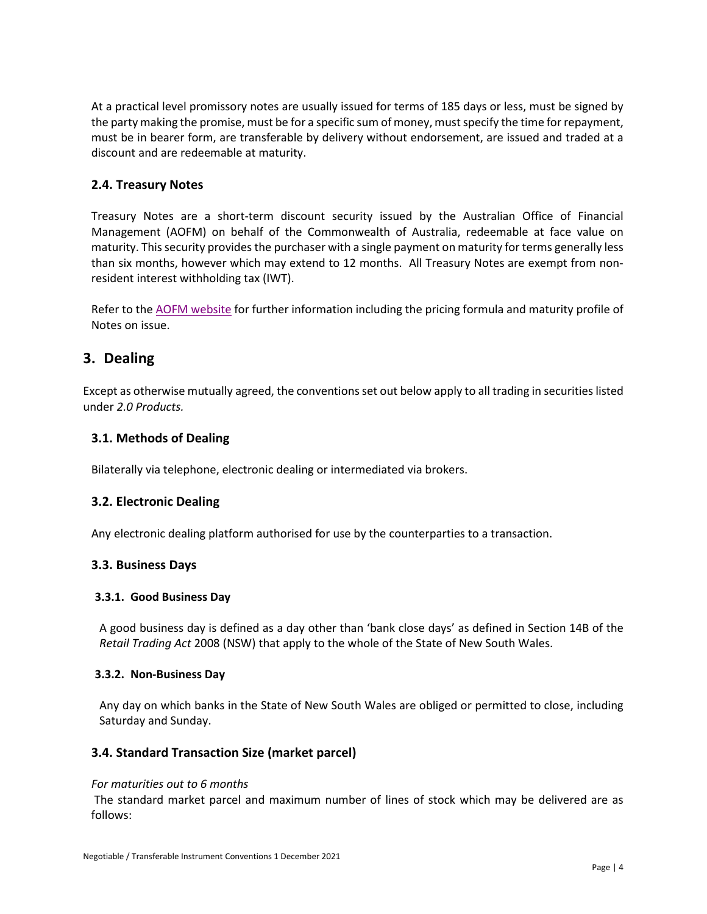At a practical level promissory notes are usually issued for terms of 185 days or less, must be signed by the party making the promise, must be for a specific sum of money, must specify the time for repayment, must be in bearer form, are transferable by delivery without endorsement, are issued and traded at a discount and are redeemable at maturity.

### <span id="page-3-0"></span>**2.4. Treasury Notes**

Treasury Notes are a short-term discount security issued by the Australian Office of Financial Management (AOFM) on behalf of the Commonwealth of Australia, redeemable at face value on maturity. This security provides the purchaser with a single payment on maturity for terms generally less than six months, however which may extend to 12 months. All Treasury Notes are exempt from nonresident interest withholding tax (IWT).

Refer to the [AOFM website](http://aofm.gov.au/ags/treasury-notes/) for further information including the pricing formula and maturity profile of Notes on issue.

# <span id="page-3-1"></span>**3. Dealing**

Except as otherwise mutually agreed, the conventionsset out below apply to all trading in securities listed under *2.0 Products.*

### <span id="page-3-2"></span>**3.1. Methods of Dealing**

Bilaterally via telephone, electronic dealing or intermediated via brokers.

#### <span id="page-3-3"></span>**3.2. Electronic Dealing**

Any electronic dealing platform authorised for use by the counterparties to a transaction.

#### <span id="page-3-4"></span>**3.3. Business Days**

#### <span id="page-3-5"></span>**3.3.1. Good Business Day**

A good business day is defined as a day other than 'bank close days' as defined in Section 14B of the *Retail Trading Act* 2008 (NSW) that apply to the whole of the State of New South Wales.

#### <span id="page-3-6"></span>**3.3.2. Non-Business Day**

Any day on which banks in the State of New South Wales are obliged or permitted to close, including Saturday and Sunday.

#### <span id="page-3-7"></span>**3.4. Standard Transaction Size (market parcel)**

#### *For maturities out to 6 months*

The standard market parcel and maximum number of lines of stock which may be delivered are as follows: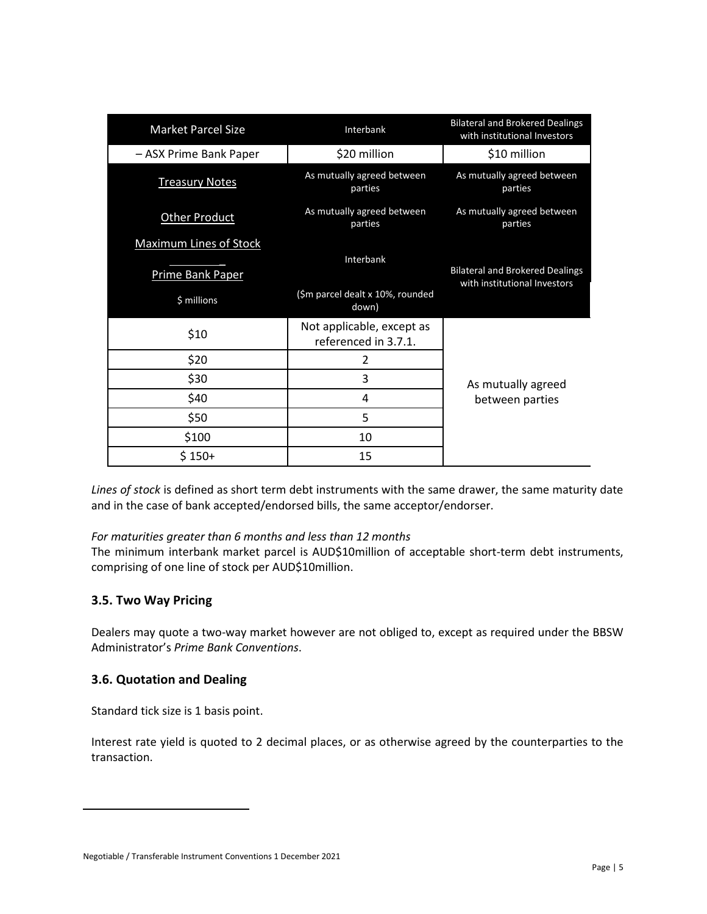| <b>Market Parcel Size</b>       | Interbank                                         | <b>Bilateral and Brokered Dealings</b><br>with institutional Investors |
|---------------------------------|---------------------------------------------------|------------------------------------------------------------------------|
| - ASX Prime Bank Paper          | \$20 million                                      | \$10 million                                                           |
| <b>Treasury Notes</b>           | As mutually agreed between<br>parties             | As mutually agreed between<br>parties                                  |
| <b>Other Product</b>            | As mutually agreed between<br>parties             | As mutually agreed between<br>parties                                  |
| <b>Maximum Lines of Stock</b>   |                                                   |                                                                        |
| Prime Bank Paper<br>\$ millions | Interbank<br>(\$m parcel dealt x 10%, rounded     | <b>Bilateral and Brokered Dealings</b><br>with institutional Investors |
|                                 | down)                                             |                                                                        |
| \$10                            | Not applicable, except as<br>referenced in 3.7.1. |                                                                        |
| \$20                            | 2                                                 |                                                                        |
| \$30                            | 3                                                 | As mutually agreed<br>between parties                                  |
| \$40                            | 4                                                 |                                                                        |
| \$50                            | 5                                                 |                                                                        |
| \$100                           | 10                                                |                                                                        |
| $$150+$                         | 15                                                |                                                                        |

*Lines of stock* is defined as short term debt instruments with the same drawer, the same maturity date and in the case of bank accepted/endorsed bills, the same acceptor/endorser.

#### *For maturities greater than 6 months and less than 12 months*

The minimum interbank market parcel is AUD\$10million of acceptable short-term debt instruments, comprising of one line of stock per AUD\$10million.

# <span id="page-4-0"></span>**3.5. Two Way Pricing**

Dealers may quote a two-way market however are not obliged to, except as required under the BBSW Administrator's *Prime Bank Conventions*.

#### <span id="page-4-1"></span>**3.6. Quotation and Dealing**

Standard tick size is 1 basis point.

<span id="page-4-2"></span>Interest rate yield is quoted to 2 decimal places, or as otherwise agreed by the counterparties to the transaction.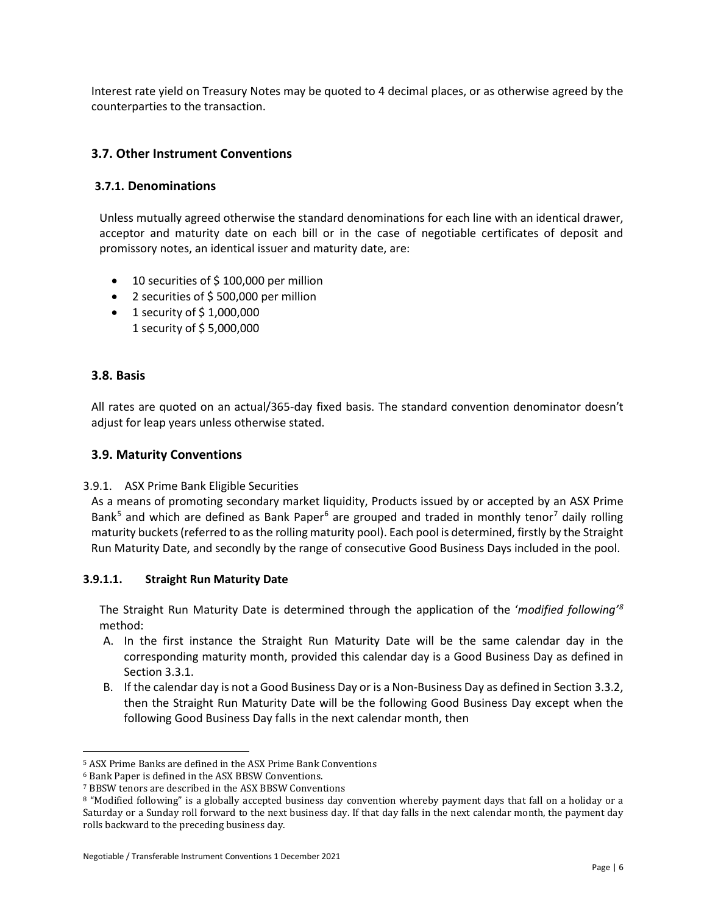Interest rate yield on Treasury Notes may be quoted to 4 decimal places, or as otherwise agreed by the counterparties to the transaction.

### <span id="page-5-0"></span>**3.7. Other Instrument Conventions**

#### <span id="page-5-1"></span>**3.7.1. Denominations**

Unless mutually agreed otherwise the standard denominations for each line with an identical drawer, acceptor and maturity date on each bill or in the case of negotiable certificates of deposit and promissory notes, an identical issuer and maturity date, are:

- 10 securities of \$100,000 per million
- 2 securities of \$ 500,000 per million
- 1 security of  $$1,000,000$ 1 security of \$ 5,000,000

#### <span id="page-5-2"></span>**3.8. Basis**

All rates are quoted on an actual/365-day fixed basis. The standard convention denominator doesn't adjust for leap years unless otherwise stated.

#### <span id="page-5-3"></span>**3.9. Maturity Conventions**

#### 3.9.1. ASX Prime Bank Eligible Securities

As a means of promoting secondary market liquidity, Products issued by or accepted by an ASX Prime Bank<sup>[5](#page-5-5)</sup> and which are defined as Bank Paper<sup>[6](#page-5-6)</sup> are grouped and traded in monthly tenor<sup>[7](#page-5-7)</sup> daily rolling maturity buckets(referred to as the rolling maturity pool). Each pool is determined, firstly by the Straight Run Maturity Date, and secondly by the range of consecutive Good Business Days included in the pool.

#### <span id="page-5-4"></span>**3.9.1.1. Straight Run Maturity Date**

The Straight Run Maturity Date is determined through the application of the '*modified following' [8](#page-5-8)* method:

- A. In the first instance the Straight Run Maturity Date will be the same calendar day in the corresponding maturity month, provided this calendar day is a Good Business Day as defined in Section 3.3.1.
- B. If the calendar day is not a Good Business Day or is a Non-Business Day as defined in Section 3.3.2, then the Straight Run Maturity Date will be the following Good Business Day except when the following Good Business Day falls in the next calendar month, then

<span id="page-5-5"></span> $^5$  ASX Prime Banks are defined in the ASX Prime Bank Conventions  $^6$  Bank Paper is defined in the ASX BBSW Conventions.

<span id="page-5-6"></span>

<span id="page-5-7"></span><sup>&</sup>lt;sup>7</sup> BBSW tenors are described in the ASX BBSW Conventions.

<span id="page-5-8"></span><sup>8 &</sup>quot;Modified following" is a globally accepted business day convention whereby payment days that fall on a holiday or a Saturday or a Sunday roll forward to the next business day. If that day falls in the next calendar month, the payment day rolls backward to the preceding business day.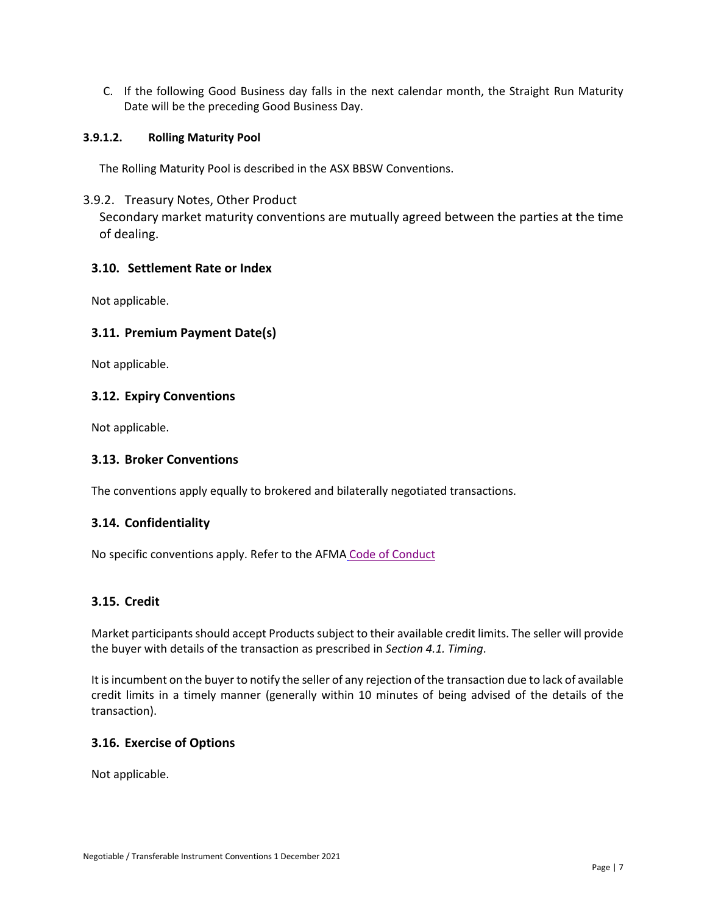C. If the following Good Business day falls in the next calendar month, the Straight Run Maturity Date will be the preceding Good Business Day.

#### **3.9.1.2. Rolling Maturity Pool**

<span id="page-6-0"></span>The Rolling Maturity Pool is described in the ASX BBSW Conventions.

#### 3.9.2. Treasury Notes, Other Product

Secondary market maturity conventions are mutually agreed between the parties at the time of dealing.

#### <span id="page-6-1"></span>**3.10. Settlement Rate or Index**

Not applicable.

#### <span id="page-6-2"></span>**3.11. Premium Payment Date(s)**

Not applicable.

#### <span id="page-6-3"></span>**3.12. Expiry Conventions**

Not applicable.

#### <span id="page-6-4"></span>**3.13. Broker Conventions**

The conventions apply equally to brokered and bilaterally negotiated transactions.

#### <span id="page-6-5"></span>**3.14. Confidentiality**

No specific conventions apply. Refer to the AFMA [Code of Conduct](https://afma.com.au/code-of-conduct)

#### <span id="page-6-6"></span>**3.15. Credit**

Market participants should accept Products subject to their available credit limits. The seller will provide the buyer with details of the transaction as prescribed in *Section 4.1. Timing*.

It is incumbent on the buyer to notify the seller of any rejection of the transaction due to lack of available credit limits in a timely manner (generally within 10 minutes of being advised of the details of the transaction).

#### <span id="page-6-7"></span>**3.16. Exercise of Options**

Not applicable.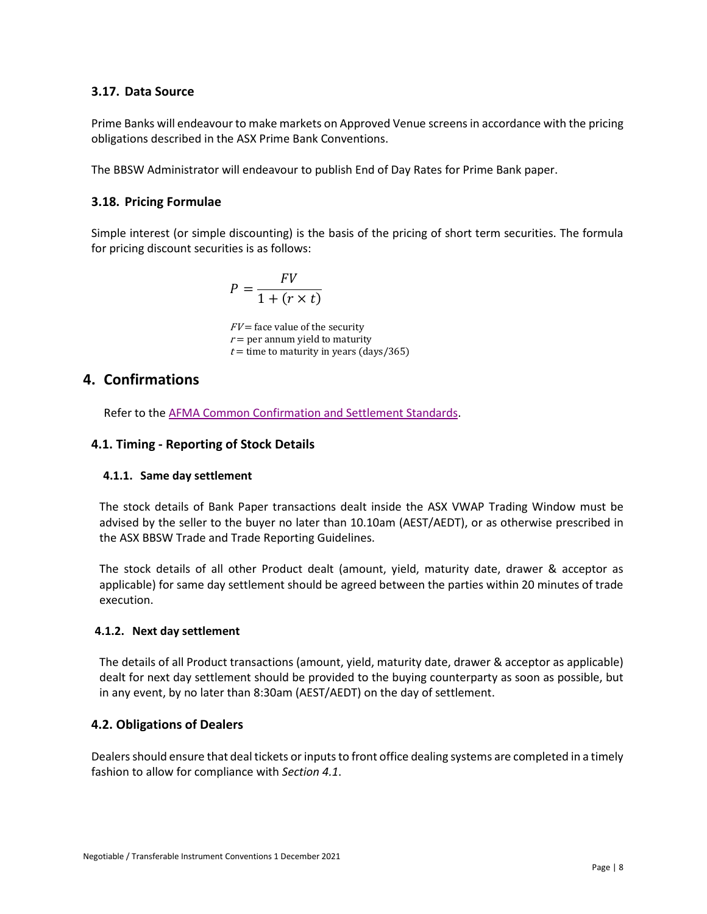## <span id="page-7-0"></span>**3.17. Data Source**

Prime Banks will endeavour to make markets on Approved Venue screens in accordance with the pricing obligations described in the ASX Prime Bank Conventions.

The BBSW Administrator will endeavour to publish End of Day Rates for Prime Bank paper.

# <span id="page-7-1"></span>**3.18. Pricing Formulae**

Simple interest (or simple discounting) is the basis of the pricing of short term securities. The formula for pricing discount securities is as follows:

$$
P = \frac{FV}{1 + (r \times t)}
$$

 $FV$  = face value of the security  $r =$  per annum yield to maturity  $t =$  time to maturity in years (days/365)

# <span id="page-7-2"></span>**4. Confirmations**

Refer to the [AFMA Common Confirmation and Settlement Standards.](https://afma.com.au/standards/market-conventions/Australian%20Common%20Confirmation%20and%20Settlement%20Standards.pdf)

# <span id="page-7-3"></span>**4.1. Timing - Reporting of Stock Details**

# <span id="page-7-4"></span>**4.1.1. Same day settlement**

The stock details of Bank Paper transactions dealt inside the ASX VWAP Trading Window must be advised by the seller to the buyer no later than 10.10am (AEST/AEDT), or as otherwise prescribed in the ASX BBSW Trade and Trade Reporting Guidelines.

The stock details of all other Product dealt (amount, yield, maturity date, drawer & acceptor as applicable) for same day settlement should be agreed between the parties within 20 minutes of trade execution.

#### <span id="page-7-5"></span>**4.1.2. Next day settlement**

The details of all Product transactions (amount, yield, maturity date, drawer & acceptor as applicable) dealt for next day settlement should be provided to the buying counterparty as soon as possible, but in any event, by no later than 8:30am (AEST/AEDT) on the day of settlement.

# <span id="page-7-6"></span>**4.2. Obligations of Dealers**

Dealers should ensure that deal tickets or inputs to front office dealing systems are completed in a timely fashion to allow for compliance with *Section 4.1*.